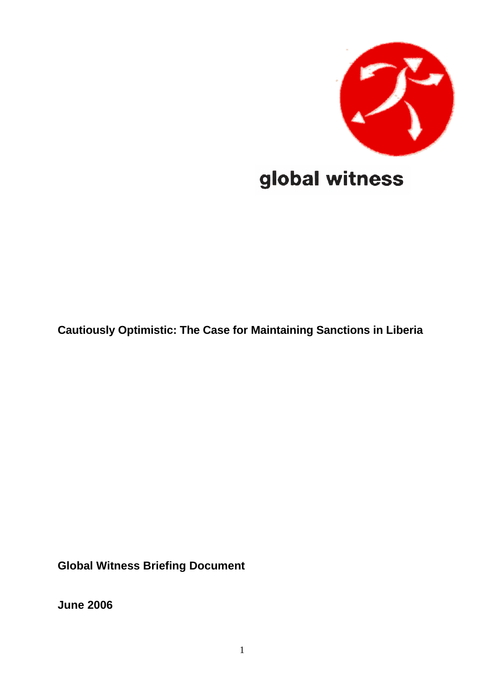

# global witness

**Cautiously Optimistic: The Case for Maintaining Sanctions in Liberia** 

**Global Witness Briefing Document** 

**June 2006**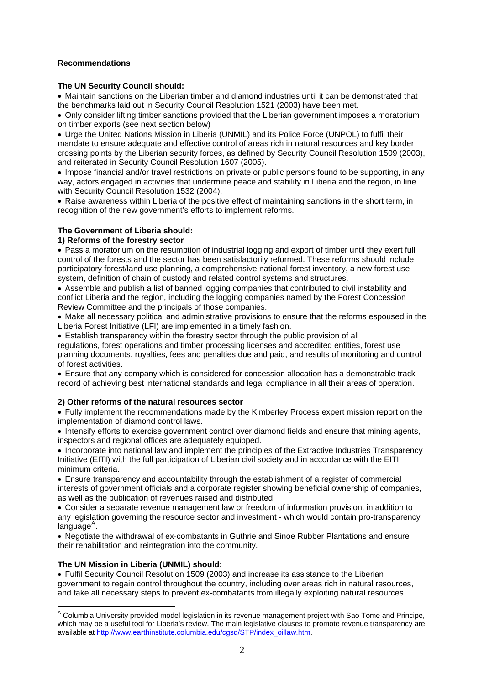## <span id="page-1-1"></span>**Recommendations**

## **The UN Security Council should:**

• Maintain sanctions on the Liberian timber and diamond industries until it can be demonstrated that the benchmarks laid out in Security Council Resolution 1521 (2003) have been met.

• Only consider lifting timber sanctions provided that the Liberian government imposes a moratorium on timber exports (see next section below)

• Urge the United Nations Mission in Liberia (UNMIL) and its Police Force (UNPOL) to fulfil their mandate to ensure adequate and effective control of areas rich in natural resources and key border crossing points by the Liberian security forces, as defined by Security Council Resolution 1509 (2003), and reiterated in Security Council Resolution 1607 (2005).

• Impose financial and/or travel restrictions on private or public persons found to be supporting, in any way, actors engaged in activities that undermine peace and stability in Liberia and the region, in line with Security Council Resolution 1532 (2004).

• Raise awareness within Liberia of the positive effect of maintaining sanctions in the short term, in recognition of the new government's efforts to implement reforms.

# **The Government of Liberia should:**

## **1) Reforms of the forestry sector**

• Pass a moratorium on the resumption of industrial logging and export of timber until they exert full control of the forests and the sector has been satisfactorily reformed. These reforms should include participatory forest/land use planning, a comprehensive national forest inventory, a new forest use system, definition of chain of custody and related control systems and structures.

• Assemble and publish a list of banned logging companies that contributed to civil instability and conflict Liberia and the region, including the logging companies named by the Forest Concession Review Committee and the principals of those companies.

• Make all necessary political and administrative provisions to ensure that the reforms espoused in the Liberia Forest Initiative (LFI) are implemented in a timely fashion.

• Establish transparency within the forestry sector through the public provision of all regulations, forest operations and timber processing licenses and accredited entities, forest use planning documents, royalties, fees and penalties due and paid, and results of monitoring and control of forest activities.

• Ensure that any company which is considered for concession allocation has a demonstrable track record of achieving best international standards and legal compliance in all their areas of operation.

## **2) Other reforms of the natural resources sector**

• Fully implement the recommendations made by the Kimberley Process expert mission report on the implementation of diamond control laws.

• Intensify efforts to exercise government control over diamond fields and ensure that mining agents, inspectors and regional offices are adequately equipped.

• Incorporate into national law and implement the principles of the Extractive Industries Transparency Initiative (EITI) with the full participation of Liberian civil society and in accordance with the EITI minimum criteria.

• Ensure transparency and accountability through the establishment of a register of commercial interests of government officials and a corporate register showing beneficial ownership of companies, as well as the publication of revenues raised and distributed.

• Consider a separate revenue management law or freedom of information provision, in addition to any legislation governing the resource sector and investment - which would contain pro-transparency  $language<sup>A</sup>$  $language<sup>A</sup>$  $language<sup>A</sup>$ .

• Negotiate the withdrawal of ex-combatants in Guthrie and Sinoe Rubber Plantations and ensure their rehabilitation and reintegration into the community.

# **The UN Mission in Liberia (UNMIL) should:**

• Fulfil Security Council Resolution 1509 (2003) and increase its assistance to the Liberian government to regain control throughout the country, including over areas rich in natural resources, and take all necessary steps to prevent ex-combatants from illegally exploiting natural resources.

<span id="page-1-0"></span> $\overline{a}$ <sup>A</sup> Columbia University provided model legislation in its revenue management project with Sao Tome and Principe, which may be a useful tool for Liberia's review. The main legislative clauses to promote revenue transparency are available at [http://www.earthinstitute.columbia.edu/cgsd/STP/index\\_oillaw.htm.](http://www.earthinstitute.columbia.edu/cgsd/STP/index_oillaw.htm)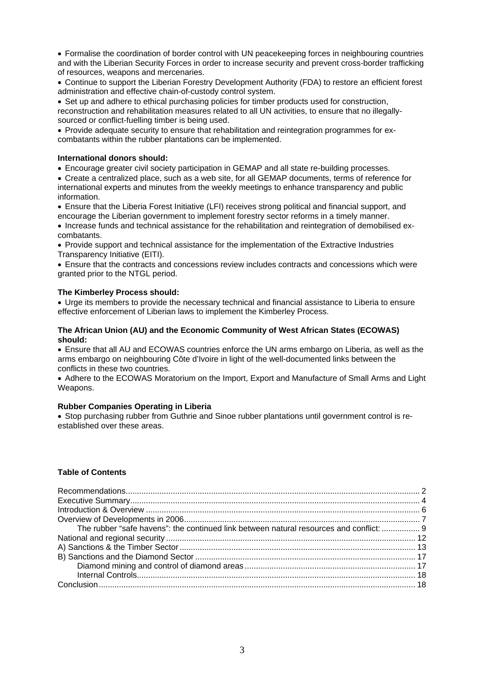• Formalise the coordination of border control with UN peacekeeping forces in neighbouring countries and with the Liberian Security Forces in order to increase security and prevent cross-border trafficking of resources, weapons and mercenaries.

• Continue to support the Liberian Forestry Development Authority (FDA) to restore an efficient forest administration and effective chain-of-custody control system.

• Set up and adhere to ethical purchasing policies for timber products used for construction, reconstruction and rehabilitation measures related to all UN activities, to ensure that no illegallysourced or conflict-fuelling timber is being used.

• Provide adequate security to ensure that rehabilitation and reintegration programmes for excombatants within the rubber plantations can be implemented.

#### **International donors should:**

• Encourage greater civil society participation in GEMAP and all state re-building processes.

• Create a centralized place, such as a web site, for all GEMAP documents, terms of reference for international experts and minutes from the weekly meetings to enhance transparency and public information.

• Ensure that the Liberia Forest Initiative (LFI) receives strong political and financial support, and encourage the Liberian government to implement forestry sector reforms in a timely manner.

• Increase funds and technical assistance for the rehabilitation and reintegration of demobilised excombatants.

• Provide support and technical assistance for the implementation of the Extractive Industries Transparency Initiative (EITI).

• Ensure that the contracts and concessions review includes contracts and concessions which were granted prior to the NTGL period.

## **The Kimberley Process should:**

• Urge its members to provide the necessary technical and financial assistance to Liberia to ensure effective enforcement of Liberian laws to implement the Kimberley Process.

#### **The African Union (AU) and the Economic Community of West African States (ECOWAS) should:**

• Ensure that all AU and ECOWAS countries enforce the UN arms embargo on Liberia, as well as the arms embargo on neighbouring Côte d'Ivoire in light of the well-documented links between the conflicts in these two countries.

• Adhere to the ECOWAS Moratorium on the Import, Export and Manufacture of Small Arms and Light Weapons.

#### **Rubber Companies Operating in Liberia**

• Stop purchasing rubber from Guthrie and Sinoe rubber plantations until government control is reestablished over these areas.

## **Table of Contents**

| The rubber "safe havens": the continued link between natural resources and conflict:  9 |  |
|-----------------------------------------------------------------------------------------|--|
|                                                                                         |  |
|                                                                                         |  |
|                                                                                         |  |
|                                                                                         |  |
|                                                                                         |  |
|                                                                                         |  |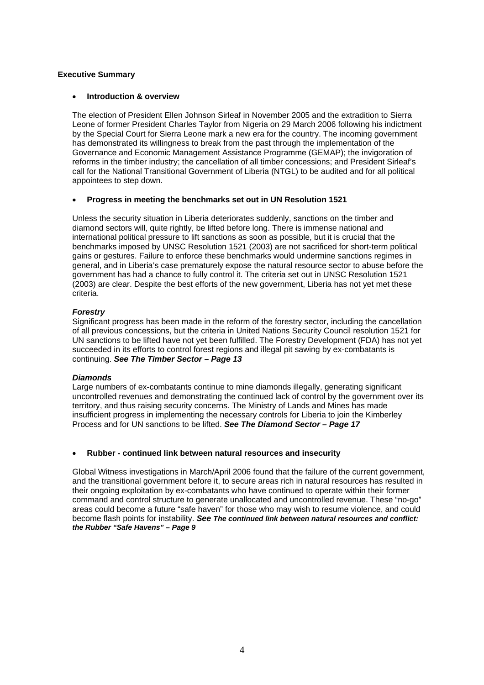## <span id="page-3-0"></span>**Executive Summary**

#### • **Introduction & overview**

The election of President Ellen Johnson Sirleaf in November 2005 and the extradition to Sierra Leone of former President Charles Taylor from Nigeria on 29 March 2006 following his indictment by the Special Court for Sierra Leone mark a new era for the country. The incoming government has demonstrated its willingness to break from the past through the implementation of the Governance and Economic Management Assistance Programme (GEMAP); the invigoration of reforms in the timber industry; the cancellation of all timber concessions; and President Sirleaf's call for the National Transitional Government of Liberia (NTGL) to be audited and for all political appointees to step down.

## • **Progress in meeting the benchmarks set out in UN Resolution 1521**

Unless the security situation in Liberia deteriorates suddenly, sanctions on the timber and diamond sectors will, quite rightly, be lifted before long. There is immense national and international political pressure to lift sanctions as soon as possible, but it is crucial that the benchmarks imposed by UNSC Resolution 1521 (2003) are not sacrificed for short-term political gains or gestures. Failure to enforce these benchmarks would undermine sanctions regimes in general, and in Liberia's case prematurely expose the natural resource sector to abuse before the government has had a chance to fully control it. The criteria set out in UNSC Resolution 1521 (2003) are clear. Despite the best efforts of the new government, Liberia has not yet met these criteria.

## *Forestry*

Significant progress has been made in the reform of the forestry sector, including the cancellation of all previous concessions, but the criteria in United Nations Security Council resolution 1521 for UN sanctions to be lifted have not yet been fulfilled. The Forestry Development (FDA) has not yet succeeded in its efforts to control forest regions and illegal pit sawing by ex-combatants is continuing. *See The Timber Sector – Page 13* 

## *Diamonds*

Large numbers of ex-combatants continue to mine diamonds illegally, generating significant uncontrolled revenues and demonstrating the continued lack of control by the government over its territory, and thus raising security concerns. The Ministry of Lands and Mines has made insufficient progress in implementing the necessary controls for Liberia to join the Kimberley Process and for UN sanctions to be lifted. *See The Diamond Sector – Page 17*

## • **Rubber - continued link between natural resources and insecurity**

Global Witness investigations in March/April 2006 found that the failure of the current government, and the transitional government before it, to secure areas rich in natural resources has resulted in their ongoing exploitation by ex-combatants who have continued to operate within their former command and control structure to generate unallocated and uncontrolled revenue. These "no-go" areas could become a future "safe haven" for those who may wish to resume violence, and could become flash points for instability. *See The continued link between natural resources and conflict: the Rubber "Safe Havens" – Page 9*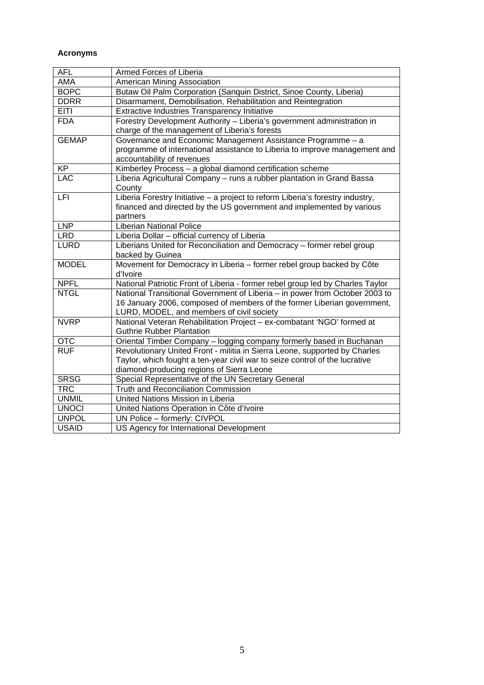## **Acronyms**

| <b>AFL</b>   | Armed Forces of Liberia                                                        |
|--------------|--------------------------------------------------------------------------------|
| AMA          | American Mining Association                                                    |
| <b>BOPC</b>  | Butaw Oil Palm Corporation (Sanquin District, Sinoe County, Liberia)           |
| <b>DDRR</b>  | Disarmament, Demobilisation, Rehabilitation and Reintegration                  |
| <b>EITI</b>  | Extractive Industries Transparency Initiative                                  |
| <b>FDA</b>   | Forestry Development Authority - Liberia's government administration in        |
|              | charge of the management of Liberia's forests                                  |
| <b>GEMAP</b> | Governance and Economic Management Assistance Programme - a                    |
|              | programme of international assistance to Liberia to improve management and     |
|              | accountability of revenues                                                     |
| <b>KP</b>    | Kimberley Process - a global diamond certification scheme                      |
| <b>LAC</b>   | Liberia Agricultural Company - runs a rubber plantation in Grand Bassa         |
|              | County                                                                         |
| <b>LFI</b>   | Liberia Forestry Initiative - a project to reform Liberia's forestry industry, |
|              | financed and directed by the US government and implemented by various          |
|              | partners                                                                       |
| <b>LNP</b>   | <b>Liberian National Police</b>                                                |
| <b>LRD</b>   | Liberia Dollar - official currency of Liberia                                  |
| <b>LURD</b>  | Liberians United for Reconciliation and Democracy - former rebel group         |
|              | backed by Guinea                                                               |
| <b>MODEL</b> | Movement for Democracy in Liberia - former rebel group backed by Côte          |
|              | d'Ivoire                                                                       |
| <b>NPFL</b>  | National Patriotic Front of Liberia - former rebel group led by Charles Taylor |
| <b>NTGL</b>  | National Transitional Government of Liberia - in power from October 2003 to    |
|              | 16 January 2006, composed of members of the former Liberian government,        |
|              | LURD, MODEL, and members of civil society                                      |
| <b>NVRP</b>  | National Veteran Rehabilitation Project - ex-combatant 'NGO' formed at         |
|              | <b>Guthrie Rubber Plantation</b>                                               |
| <b>OTC</b>   | Oriental Timber Company - logging company formerly based in Buchanan           |
| <b>RUF</b>   | Revolutionary United Front - militia in Sierra Leone, supported by Charles     |
|              | Taylor, which fought a ten-year civil war to seize control of the lucrative    |
|              | diamond-producing regions of Sierra Leone                                      |
| <b>SRSG</b>  | Special Representative of the UN Secretary General                             |
| <b>TRC</b>   | <b>Truth and Reconciliation Commission</b>                                     |
| <b>UNMIL</b> | United Nations Mission in Liberia                                              |
| <b>UNOCI</b> | United Nations Operation in Côte d'Ivoire                                      |
| <b>UNPOL</b> | UN Police - formerly: CIVPOL                                                   |
| <b>USAID</b> | US Agency for International Development                                        |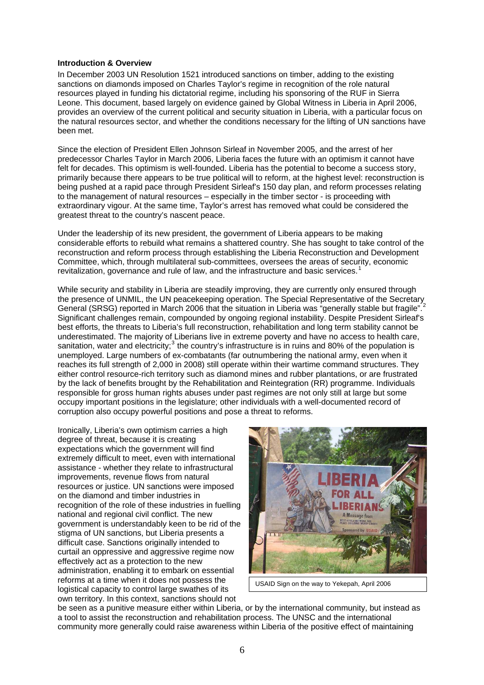#### <span id="page-5-0"></span>**Introduction & Overview**

In December 2003 UN Resolution 1521 introduced sanctions on timber, adding to the existing sanctions on diamonds imposed on Charles Taylor's regime in recognition of the role natural resources played in funding his dictatorial regime, including his sponsoring of the RUF in Sierra Leone. This document, based largely on evidence gained by Global Witness in Liberia in April 2006, provides an overview of the current political and security situation in Liberia, with a particular focus on the natural resources sector, and whether the conditions necessary for the lifting of UN sanctions have been met.

Since the election of President Ellen Johnson Sirleaf in November 2005, and the arrest of her predecessor Charles Taylor in March 2006, Liberia faces the future with an optimism it cannot have felt for decades. This optimism is well-founded. Liberia has the potential to become a success story, primarily because there appears to be true political will to reform, at the highest level: reconstruction is being pushed at a rapid pace through President Sirleaf's 150 day plan, and reform processes relating to the management of natural resources – especially in the timber sector - is proceeding with extraordinary vigour. At the same time, Taylor's arrest has removed what could be considered the greatest threat to the country's nascent peace.

Under the leadership of its new president, the government of Liberia appears to be making considerable efforts to rebuild what remains a shattered country. She has sought to take control of the reconstruction and reform process through establishing the Liberia Reconstruction and Development Committee, which, through multilateral sub-committees, oversees the areas of security, economic revitalization, governance and rule of law, and the infrastructure and basic services.<sup>[1](#page-19-0)</sup>

While security and stability in Liberia are steadily improving, they are currently only ensured through the presence of UNMIL, the UN peacekeeping operation. The Special Representative of the Secretary General (SRSG) reported in March [2](#page-19-1)006 that the situation in Liberia was "generally stable but fragile".<sup>2</sup> Significant challenges remain, compounded by ongoing regional instability. Despite President Sirleaf's best efforts, the threats to Liberia's full reconstruction, rehabilitation and long term stability cannot be underestimated. The majority of Liberians live in extreme poverty and have no access to health care, sanitation, water and electricity;<sup>[3](#page-19-1)</sup> the country's infrastructure is in ruins and 80% of the population is unemployed. Large numbers of ex-combatants (far outnumbering the national army, even when it reaches its full strength of 2,000 in 2008) still operate within their wartime command structures. They either control resource-rich territory such as diamond mines and rubber plantations, or are frustrated by the lack of benefits brought by the Rehabilitation and Reintegration (RR) programme. Individuals responsible for gross human rights abuses under past regimes are not only still at large but some occupy important positions in the legislature; other individuals with a well-documented record of corruption also occupy powerful positions and pose a threat to reforms.

Ironically, Liberia's own optimism carries a high degree of threat, because it is creating expectations which the government will find extremely difficult to meet, even with international assistance - whether they relate to infrastructural improvements, revenue flows from natural resources or justice. UN sanctions were imposed on the diamond and timber industries in recognition of the role of these industries in fuelling national and regional civil conflict. The new government is understandably keen to be rid of the stigma of UN sanctions, but Liberia presents a difficult case. Sanctions originally intended to curtail an oppressive and aggressive regime now effectively act as a protection to the new administration, enabling it to embark on essential reforms at a time when it does not possess the logistical capacity to control large swathes of its own territory. In this context, sanctions should not



USAID Sign on the way to Yekepah, April 2006

be seen as a punitive measure either within Liberia, or by the international community, but instead as a tool to assist the reconstruction and rehabilitation process. The UNSC and the international community more generally could raise awareness within Liberia of the positive effect of maintaining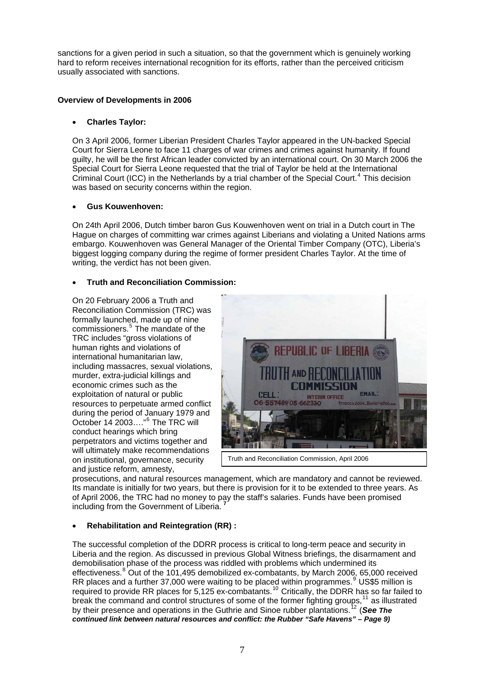<span id="page-6-0"></span>sanctions for a given period in such a situation, so that the government which is genuinely working hard to reform receives international recognition for its efforts, rather than the perceived criticism usually associated with sanctions.

## **Overview of Developments in 2006**

## • **Charles Taylor:**

On 3 April 2006, former Liberian President Charles Taylor appeared in the UN-backed Special Court for Sierra Leone to face 11 charges of war crimes and crimes against humanity. If found guilty, he will be the first African leader convicted by an international court. On 30 March 2006 the Special Court for Sierra Leone requested that the trial of Taylor be held at the International Criminal Court (ICC) in the Netherlands by a trial chamber of the Special Court.<sup>[4](#page-19-1)</sup> This decision was based on security concerns within the region.

## • **Gus Kouwenhoven:**

On 24th April 2006, Dutch timber baron Gus Kouwenhoven went on trial in a Dutch court in The Hague on charges of committing war crimes against Liberians and violating a United Nations arms embargo. Kouwenhoven was General Manager of the Oriental Timber Company (OTC), Liberia's biggest logging company during the regime of former president Charles Taylor. At the time of writing, the verdict has not been given.

## • **Truth and Reconciliation Commission:**

On 20 February 2006 a Truth and Reconciliation Commission (TRC) was formally launched, made up of nine commissioners.<sup>[5](#page-19-1)</sup> The mandate of the TRC includes "gross violations of human rights and violations of international humanitarian law, including massacres, sexual violations, murder, extra-judicial killings and economic crimes such as the exploitation of natural or public resources to perpetuate armed conflict during the period of January 1979 and October 14 2003...."<sup>[6](#page-19-1)</sup> The TRC will conduct hearings which bring perpetrators and victims together and will ultimately make recommendations on institutional, governance, security and justice reform, amnesty,



prosecutions, and natural resources management, which are mandatory and cannot be reviewed. Its mandate is initially for two years, but there is provision for it to be extended to three years. As of April 2006, the TRC had no money to pay the staff's salaries. Funds have been promised including from the Government of Liberia. **[7](#page-19-1)**

# • **Rehabilitation and Reintegration (RR) :**

The successful completion of the DDRR process is critical to long-term peace and security in Liberia and the region. As discussed in previous Global Witness briefings, the disarmament and demobilisation phase of the process was riddled with problems which undermined its effectiveness.<sup>[8](#page-19-1)</sup> Out of the 101,495 demobilized ex-combatants, by March 2006, 65,000 received RR places and a further 37,000 were waiting to be placed within programmes.  $9$  US\$5 million is required to provide RR places for 5,125 ex-combatants.<sup>[10](#page-19-1)</sup> Critically, the DDRR has so far failed to break the command and control structures of some of the former fighting groups, $11$  as illustrated by their presence and operations in the Guthrie and Sinoe rubber plantations.<sup>[12](#page-19-1)</sup> (See The *continued link between natural resources and conflict: the Rubber "Safe Havens" – Page 9)*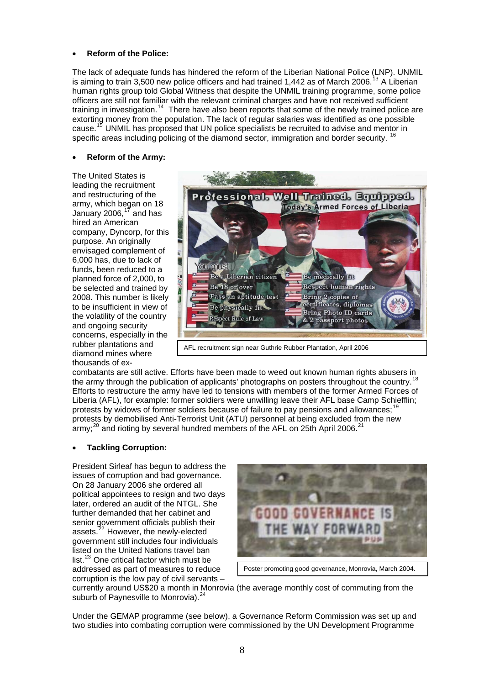#### • **Reform of the Police:**

The lack of adequate funds has hindered the reform of the Liberian National Police (LNP). UNMIL is aiming to train 3,500 new police officers and had trained 1,442 as of March 2006.<sup>[13](#page-19-1)</sup> A Liberian human rights group told Global Witness that despite the UNMIL training programme, some police officers are still not familiar with the relevant criminal charges and have not received sufficient training in investigation.[14](#page-19-1) There have also been reports that some of the newly trained police are extorting money from the population. The lack of regular salaries was identified as one possible cause.[15](#page-19-1) UNMIL has proposed that UN police specialists be recruited to advise and mentor in specific areas including policing of the diamond sector, immigration and border security. <sup>[16](#page-19-1)</sup>

#### • **Reform of the Army:**

The United States is leading the recruitment and restructuring of the army, which began on 18 January 2006. $17$  and has hired an American company, Dyncorp, for this purpose. An originally envisaged complement of 6,000 has, due to lack of funds, been reduced to a planned force of 2,000, to be selected and trained by 2008. This number is likely to be insufficient in view of the volatility of the country and ongoing security concerns, especially in the rubber plantations and diamond mines where thousands of ex-



combatants are still active. Efforts have been made to weed out known human rights abusers in the army through the publication of applicants' photographs on posters throughout the country.<sup>[18](#page-19-1)</sup> Efforts to restructure the army have led to tensions with members of the former Armed Forces of Liberia (AFL), for example: former soldiers were unwilling leave their AFL base Camp Schiefflin; protests by widows of former soldiers because of failure to pay pensions and allowances;<sup>[19](#page-19-1)</sup> protests by demobilised Anti-Terrorist Unit (ATU) personnel at being excluded from the new army; $^{20}$  $^{20}$  $^{20}$  and rioting by several hundred members of the AFL on 25th April 2006.

## • **Tackling Corruption:**

President Sirleaf has begun to address the issues of corruption and bad governance. On 28 January 2006 she ordered all political appointees to resign and two days later, ordered an audit of the NTGL. She further demanded that her cabinet and senior government officials publish their assets.<sup>[22](#page-19-1)</sup> However, the newly-elected government still includes four individuals listed on the United Nations travel ban list. $^{23}$  $^{23}$  $^{23}$  One critical factor which must be addressed as part of measures to reduce corruption is the low pay of civil servants –



Poster promoting good governance, Monrovia, March 2004.

currently around US\$20 a month in Monrovia (the average monthly cost of commuting from the suburb of Paynesville to Monrovia).<sup>[24](#page-19-1)</sup>

Under the GEMAP programme (see below), a Governance Reform Commission was set up and two studies into combating corruption were commissioned by the UN Development Programme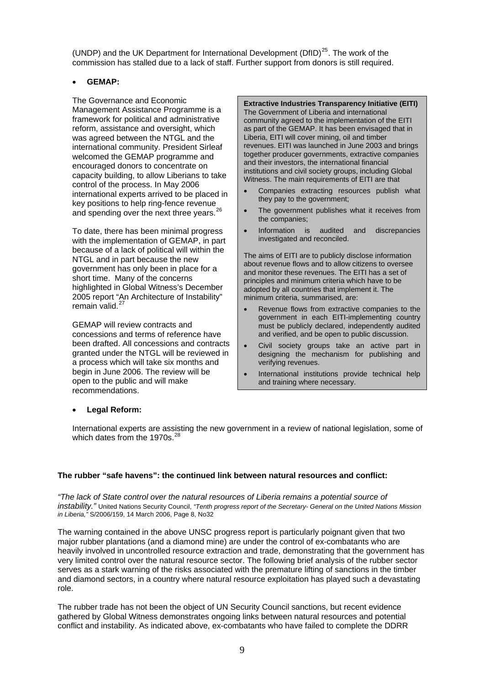<span id="page-8-0"></span>(UNDP) and the UK Department for International Development ( $DfID$ )<sup>[25](#page-19-1)</sup>. The work of the commission has stalled due to a lack of staff. Further support from donors is still required.

## • **GEMAP:**

The Governance and Economic Management Assistance Programme is a framework for political and administrative reform, assistance and oversight, which was agreed between the NTGL and the international community. President Sirleaf welcomed the GEMAP programme and encouraged donors to concentrate on capacity building, to allow Liberians to take control of the process. In May 2006 international experts arrived to be placed in key positions to help ring-fence revenue and spending over the next three years.<sup>[26](#page-19-1)</sup>

To date, there has been minimal progress with the implementation of GEMAP, in part because of a lack of political will within the NTGL and in part because the new government has only been in place for a short time. Many of the concerns highlighted in Global Witness's December 2005 report "An Architecture of Instability" remain valid.<sup>[27](#page-19-1)</sup>

GEMAP will review contracts and concessions and terms of reference have been drafted. All concessions and contracts granted under the NTGL will be reviewed in a process which will take six months and begin in June 2006. The review will be open to the public and will make recommendations.

**Extractive Industries Transparency Initiative (EITI)** The Government of Liberia and international community agreed to the implementation of the EITI as part of the GEMAP. It has been envisaged that in Liberia, EITI will cover mining, oil and timber revenues. EITI was launched in June 2003 and brings together producer governments, extractive companies and their investors, the international financial institutions and civil society groups, including Global Witness. The main requirements of EITI are that

- Companies extracting resources publish what they pay to the government;
- The government publishes what it receives from the companies;
- Information is audited and discrepancies investigated and reconciled.

The aims of EITI are to publicly disclose information about revenue flows and to allow citizens to oversee and monitor these revenues. The EITI has a set of principles and minimum criteria which have to be adopted by all countries that implement it. The minimum criteria, summarised, are:

- Revenue flows from extractive companies to the government in each EITI-implementing country must be publicly declared, independently audited and verified, and be open to public discussion.
- Civil society groups take an active part in designing the mechanism for publishing and verifying revenues.
- International institutions provide technical help and training where necessary.

## • **Legal Reform:**

International experts are assisting the new government in a review of national legislation, some of which dates from the 1970s. $^{28}$  $^{28}$  $^{28}$ 

#### **The rubber "safe havens": the continued link between natural resources and conflict:**

*"The lack of State control over the natural resources of Liberia remains a potential source of instability."* United Nations Security Council, *"Tenth progress report of the Secretary- General on the United Nations Mission in Liberia,"* S/2006/159, 14 March 2006, Page 8, No32

The warning contained in the above UNSC progress report is particularly poignant given that two major rubber plantations (and a diamond mine) are under the control of ex-combatants who are heavily involved in uncontrolled resource extraction and trade, demonstrating that the government has very limited control over the natural resource sector. The following brief analysis of the rubber sector serves as a stark warning of the risks associated with the premature lifting of sanctions in the timber and diamond sectors, in a country where natural resource exploitation has played such a devastating role.

The rubber trade has not been the object of UN Security Council sanctions, but recent evidence gathered by Global Witness demonstrates ongoing links between natural resources and potential conflict and instability. As indicated above, ex-combatants who have failed to complete the DDRR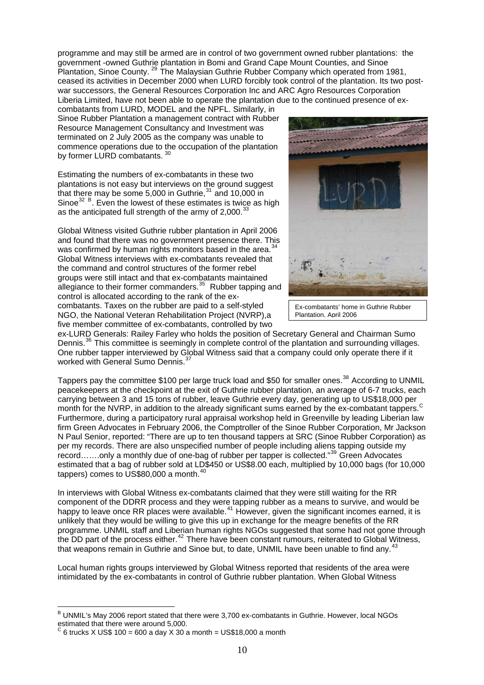programme and may still be armed are in control of two government owned rubber plantations: the government -owned Guthrie plantation in Bomi and Grand Cape Mount Counties, and Sinoe Plantation, Sinoe County.<sup>[29](#page-19-1)</sup> The Malaysian Guthrie Rubber Company which operated from 1981, ceased its activities in December 2000 when LURD forcibly took control of the plantation. Its two postwar successors, the General Resources Corporation Inc and ARC Agro Resources Corporation Liberia Limited, have not been able to operate the plantation due to the continued presence of ex-

combatants from LURD, MODEL and the NPFL. Similarly, in Sinoe Rubber Plantation a management contract with Rubber Resource Management Consultancy and Investment was terminated on 2 July 2005 as the company was unable to commence operations due to the occupation of the plantation by former LURD combatants. [30](#page-19-1)

Estimating the numbers of ex-combatants in these two plantations is not easy but interviews on the ground suggest that there may be some  $5,000$  in Guthrie,  $31$  and 10,000 in Sinoe $^{32}$  $^{32}$  $^{32}$  [B](#page-9-0). Even the lowest of these estimates is twice as high as the anticipated full strength of the army of  $2,000<sup>3</sup>$ 

Global Witness visited Guthrie rubber plantation in April 2006 and found that there was no government presence there. This was confirmed by human rights monitors based in the area.<sup>3</sup> Global Witness interviews with ex-combatants revealed that the command and control structures of the former rebel groups were still intact and that ex-combatants maintained allegiance to their former commanders. $35$  Rubber tapping and control is allocated according to the rank of the excombatants. Taxes on the rubber are paid to a self-styled NGO, the National Veteran Rehabilitation Project (NVRP),a five member committee of ex-combatants, controlled by two



Ex-combatants' home in Guthrie Rubber Plantation, April 2006

ex-LURD Generals: Railey Farley who holds the position of Secretary General and Chairman Sumo Dennis.<sup>[36](#page-19-1)</sup> This committee is seemingly in complete control of the plantation and surrounding villages. One rubber tapper interviewed by Global Witness said that a company could only operate there if it worked with General Sumo Dennis.<sup>[37](#page-19-1)</sup>

Tappers pay the committee \$100 per large truck load and \$50 for smaller ones.<sup>[38](#page-19-1)</sup> According to UNMIL peacekeepers at the checkpoint at the exit of Guthrie rubber plantation, an average of 6-7 trucks, each carrying between 3 and 15 tons of rubber, leave Guthrie every day, generating up to US\$18,000 per month for the NVRP, in addition to the already significant sums earned by the ex-combatant tappers.<sup>[C](#page-9-1)</sup> Furthermore, during a participatory rural appraisal workshop held in Greenville by leading Liberian law firm Green Advocates in February 2006, the Comptroller of the Sinoe Rubber Corporation, Mr Jackson N Paul Senior, reported: "There are up to ten thousand tappers at SRC (Sinoe Rubber Corporation) as per my records. There are also unspecified number of people including aliens tapping outside my record……only a monthly due of one-bag of rubber per tapper is collected."<sup>[39](#page-19-1)</sup> Green Advocates estimated that a bag of rubber sold at LD\$450 or US\$8.00 each, multiplied by 10,000 bags (for 10,000 tappers) comes to US\$80,000 a month. $40$ 

In interviews with Global Witness ex-combatants claimed that they were still waiting for the RR component of the DDRR process and they were tapping rubber as a means to survive, and would be happy to leave once RR places were available.<sup>[41](#page-19-1)</sup> However, given the significant incomes earned, it is unlikely that they would be willing to give this up in exchange for the meagre benefits of the RR programme. UNMIL staff and Liberian human rights NGOs suggested that some had not gone through the DD part of the process either.<sup>[42](#page-19-1)</sup> There have been constant rumours, reiterated to Global Witness, that weapons remain in Guthrie and Sinoe but, to date, UNMIL have been unable to find any.<sup>[43](#page-19-1)</sup>

Local human rights groups interviewed by Global Witness reported that residents of the area were intimidated by the ex-combatants in control of Guthrie rubber plantation. When Global Witness

<span id="page-9-0"></span><sup>&</sup>lt;u>edical</u><br>B UNMIL's May 2006 report stated that there were 3,700 ex-combatants in Guthrie. However, local NGOs estimated that there were around 5,000.

<span id="page-9-1"></span>C 6 trucks  $X$  US\$ 100 = 600 a day  $X$  30 a month = US\$18,000 a month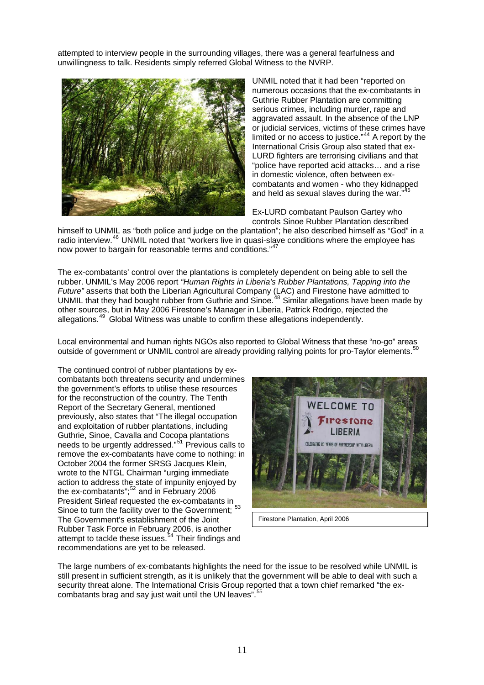attempted to interview people in the surrounding villages, there was a general fearfulness and unwillingness to talk. Residents simply referred Global Witness to the NVRP.



UNMIL noted that it had been "reported on numerous occasions that the ex-combatants in Guthrie Rubber Plantation are committing serious crimes, including murder, rape and aggravated assault. In the absence of the LNP or judicial services, victims of these crimes have limited or no access to justice."[44](#page-19-1) A report by the International Crisis Group also stated that ex-LURD fighters are terrorising civilians and that "police have reported acid attacks… and a rise in domestic violence, often between excombatants and women - who they kidnapped and held as sexual slaves during the war."

Ex-LURD combatant Paulson Gartey who controls Sinoe Rubber Plantation described

himself to UNMIL as "both police and judge on the plantation"; he also described himself as "God" in a radio interview.<sup>[46](#page-19-1)</sup> UNMIL noted that "workers live in quasi-slave conditions where the employee has now power to bargain for reasonable terms and conditions."<sup>[47](#page-19-1)</sup>

The ex-combatants' control over the plantations is completely dependent on being able to sell the rubber. UNMIL's May 2006 report *"Human Rights in Liberia's Rubber Plantations, Tapping into the Future"* asserts that both the Liberian Agricultural Company (LAC) and Firestone have admitted to UNMIL that they had bought rubber from Guthrie and Sinoe.<sup>[48](#page-19-1)</sup> Similar allegations have been made by other sources, but in May 2006 Firestone's Manager in Liberia, Patrick Rodrigo, rejected the allegations.[49](#page-19-1) Global Witness was unable to confirm these allegations independently.

Local environmental and human rights NGOs also reported to Global Witness that these "no-go" areas outside of government or UNMIL control are already providing rallying points for pro-Taylor elements.<sup>5</sup>

The continued control of rubber plantations by excombatants both threatens security and undermines the government's efforts to utilise these resources for the reconstruction of the country. The Tenth Report of the Secretary General, mentioned previously, also states that "The illegal occupation and exploitation of rubber plantations, including Guthrie, Sinoe, Cavalla and Cocopa plantations needs to be urgently addressed."[51](#page-19-1) Previous calls to remove the ex-combatants have come to nothing: in October 2004 the former SRSG Jacques Klein, wrote to the NTGL Chairman "urging immediate action to address the state of impunity enjoyed by the ex-combatants";<sup>[52](#page-19-1)</sup> and in February 2006 President Sirleaf requested the ex-combatants in Sinoe to turn the facility over to the Government; <sup>[53](#page-19-1)</sup> The Government's establishment of the Joint Rubber Task Force in February 2006, is another attempt to tackle these issues.<sup>[54](#page-19-1)</sup> Their findings and recommendations are yet to be released.



The large numbers of ex-combatants highlights the need for the issue to be resolved while UNMIL is still present in sufficient strength, as it is unlikely that the government will be able to deal with such a security threat alone. The International Crisis Group reported that a town chief remarked "the ex-combatants brag and say just wait until the UN leaves".<sup>[55](#page-19-1)</sup>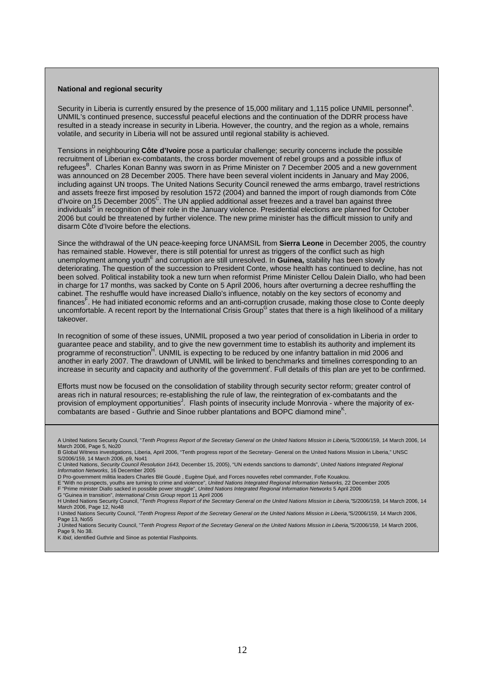#### <span id="page-11-0"></span>**National and regional security**

Security in Liberia is currently ensured by the presence of 15,000 military and 1,115 police UNMIL personnel<sup>A</sup>. UNMIL's continued presence, successful peaceful elections and the continuation of the DDRR process have resulted in a steady increase in security in Liberia. However, the country, and the region as a whole, remains volatile, and security in Liberia will not be assured until regional stability is achieved.

Tensions in neighbouring **Côte d'Ivoire** pose a particular challenge; security concerns include the possible recruitment of Liberian ex-combatants, the cross border movement of rebel groups and a possible influx of refugees<sup>B</sup>. Charles Konan Banny was sworn in as Prime Minister on 7 December 2005 and a new government was announced on 28 December 2005. There have been several violent incidents in January and May 2006, including against UN troops. The United Nations Security Council renewed the arms embargo, travel restrictions and assets freeze first imposed by resolution 1572 (2004) and banned the import of rough diamonds from Côte d'Ivoire on 15 December 2005 $^{\circ}$ . The UN applied additional asset freezes and a travel ban against three individuals<sup>D</sup> in recognition of their role in the January violence. Presidential elections are planned for October 2006 but could be threatened by further violence. The new prime minister has the difficult mission to unify and disarm Côte d'Ivoire before the elections.

Since the withdrawal of the UN peace-keeping force UNAMSIL from **Sierra Leone** in December 2005, the country has remained stable. However, there is still potential for unrest as triggers of the conflict such as high unemployment among youth<sup>E</sup> and corruption are still unresolved. In **Guinea**, stability has been slowly deteriorating. The question of the succession to President Conte, whose health has continued to decline, has not been solved. Political instability took a new turn when reformist Prime Minister Cellou Dalein Diallo, who had been in charge for 17 months, was sacked by Conte on 5 April 2006, hours after overturning a decree reshuffling the cabinet. The reshuffle would have increased Diallo's influence, notably on the key sectors of economy and finances<sup>F</sup>. He had initiated economic reforms and an anti-corruption crusade, making those close to Conte deeply uncomfortable. A recent report by the International Crisis Group<sup>G</sup> states that there is a high likelihood of a military takeover.

In recognition of some of these issues, UNMIL proposed a two year period of consolidation in Liberia in order to guarantee peace and stability, and to give the new government time to establish its authority and implement its programme of reconstruction<sup>H</sup>. UNMIL is expecting to be reduced by one infantry battalion in mid 2006 and another in early 2007. The drawdown of UNMIL will be linked to benchmarks and timelines corresponding to an increase in security and capacity and authority of the government<sup>1</sup>. Full details of this plan are yet to be confirmed.

Efforts must now be focused on the consolidation of stability through security sector reform; greater control of areas rich in natural resources; re-establishing the rule of law, the reintegration of ex-combatants and the provision of employment opportunities<sup>J</sup>. Flash points of insecurity include Monrovia - where the majority of excombatants are based - Guthrie and Sinoe rubber plantations and BOPC diamond mine<sup>K</sup>.

D Pro-government militia leaders Charles Blé Goudé , Eugène Djué, and Forces nouvelles rebel commander, Fofie Kouakou.

E "With no prospects, youths are turning to crime and violence", *United Nations Integrated Regional Information Networks,* 22 December 2005<br>F "[Prime minister Diallo sacked in possible power struggle"](http://www.irinnews.org/report.asp?ReportID=52631&SelectRegion=West_Africa&SelectCountry=GUINEA), *United Nations Inte* 

G "Guinea in transition", *International Crisis Group* report 11 April 2006

H United Nations Security Council, "*Tenth Progress Report of the Secretary General on the United Nations Mission in Liberia,"*S/2006/159, 14 March 2006, 14 March 2006, Page 12, No48

I United Nations Security Council, "*Tenth Progress Report of the Secretary General on the United Nations Mission in Liberia,"*S/2006/159, 14 March 2006, Page 13, No55

J United Nations Security Council, "*Tenth Progress Report of the Secretary General on the United Nations Mission in Liberia,"*S/2006/159, 14 March 2006, Page 9, No 38.

K *Ibid*, identified Guthrie and Sinoe as potential Flashpoints.

A United Nations Security Council, "*Tenth Progress Report of the Secretary General on the United Nations Mission in Liberia,"*S/2006/159, 14 March 2006, 14 March 2006, Page 5, No20

B Global Witness investigations, Liberia, April 2006, "Tenth progress report of the Secretary- General on the United Nations Mission in Liberia," UNSC S/2006/159, 14 March 2006, p9, No41

C United Nations, *Security Council Resolution 1643,* December 15, 2005), ["UN extends sanctions to diamonds](http://www.irinnews.org/report.asp?ReportID=50739&SelectRegion=West_Africa&SelectCountry=COTE_D_IVOIRE)", *United Nations Integrated Regional Information Networks*, 16 December 2005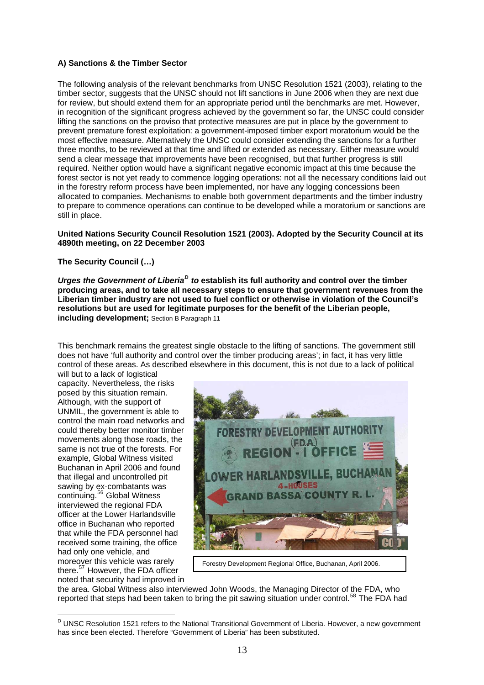## <span id="page-12-0"></span>**A) Sanctions & the Timber Sector**

The following analysis of the relevant benchmarks from UNSC Resolution 1521 (2003), relating to the timber sector, suggests that the UNSC should not lift sanctions in June 2006 when they are next due for review, but should extend them for an appropriate period until the benchmarks are met. However, in recognition of the significant progress achieved by the government so far, the UNSC could consider lifting the sanctions on the proviso that protective measures are put in place by the government to prevent premature forest exploitation: a government-imposed timber export moratorium would be the most effective measure. Alternatively the UNSC could consider extending the sanctions for a further three months, to be reviewed at that time and lifted or extended as necessary. Either measure would send a clear message that improvements have been recognised, but that further progress is still required. Neither option would have a significant negative economic impact at this time because the forest sector is not yet ready to commence logging operations: not all the necessary conditions laid out in the forestry reform process have been implemented, nor have any logging concessions been allocated to companies. Mechanisms to enable both government departments and the timber industry to prepare to commence operations can continue to be developed while a moratorium or sanctions are still in place.

#### **United Nations Security Council Resolution 1521 (2003). Adopted by the Security Council at its 4890th meeting, on 22 December 2003**

## **The Security Council (…)**

*Urges the Government of Liberia[D](#page-12-1) to* **establish its full authority and control over the timber producing areas, and to take all necessary steps to ensure that government revenues from the Liberian timber industry are not used to fuel conflict or otherwise in violation of the Council's resolutions but are used for legitimate purposes for the benefit of the Liberian people, including development;** Section B Paragraph 11

This benchmark remains the greatest single obstacle to the lifting of sanctions. The government still does not have 'full authority and control over the timber producing areas'; in fact, it has very little control of these areas. As described elsewhere in this document, this is not due to a lack of political

will but to a lack of logistical capacity. Nevertheless, the risks posed by this situation remain. Although, with the support of UNMIL, the government is able to control the main road networks and could thereby better monitor timber movements along those roads, the same is not true of the forests. For example, Global Witness visited Buchanan in April 2006 and found that illegal and uncontrolled pit sawing by ex-combatants was continuing.[56](#page-19-2) Global Witness interviewed the regional FDA officer at the Lower Harlandsville office in Buchanan who reported that while the FDA personnel had received some training, the office had only one vehicle, and moreover this vehicle was rarely there.<sup>[57](#page-19-2)</sup> However, the FDA officer noted that security had improved in



Forestry Development Regional Office, Buchanan, April 2006.

the area. Global Witness also interviewed John Woods, the Managing Director of the FDA, who reported that steps had been taken to bring the pit sawing situation under control.<sup>[58](#page-19-2)</sup> The FDA had

<span id="page-12-1"></span> D UNSC Resolution 1521 refers to the National Transitional Government of Liberia. However, a new government has since been elected. Therefore "Government of Liberia" has been substituted.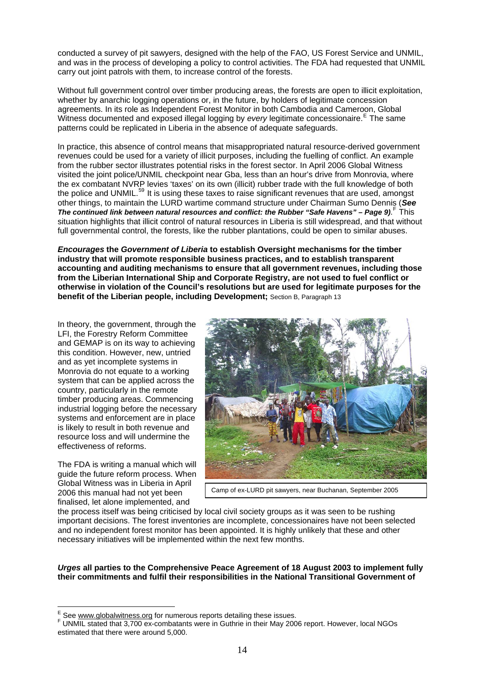conducted a survey of pit sawyers, designed with the help of the FAO, US Forest Service and UNMIL, and was in the process of developing a policy to control activities. The FDA had requested that UNMIL carry out joint patrols with them, to increase control of the forests.

Without full government control over timber producing areas, the forests are open to illicit exploitation, whether by anarchic logging operations or, in the future, by holders of legitimate concession agreements. In its role as Independent Forest Monitor in both Cambodia and Cameroon, Global Witness documented and exposed illegal logging by *every* legitimate concessionaire.<sup>[E](#page-13-0)</sup> The same patterns could be replicated in Liberia in the absence of adequate safeguards.

In practice, this absence of control means that misappropriated natural resource-derived government revenues could be used for a variety of illicit purposes, including the fuelling of conflict. An example from the rubber sector illustrates potential risks in the forest sector. In April 2006 Global Witness visited the joint police/UNMIL checkpoint near Gba, less than an hour's drive from Monrovia, where the ex combatant NVRP levies 'taxes' on its own (illicit) rubber trade with the full knowledge of both the police and UNMIL.<sup>[59](#page-19-2)</sup> It is using these taxes to raise significant revenues that are used, amongst other things, to maintain the LURD wartime command structure under Chairman Sumo Dennis (*See*  The continued link between natural resources and conflict: the Rubber "Safe Havens" - Page 9). <sup>[F](#page-13-1)</sup> This situation highlights that illicit control of natural resources in Liberia is still widespread, and that without full governmental control, the forests, like the rubber plantations, could be open to similar abuses.

*Encourages* **the** *Government of Liberia* **to establish Oversight mechanisms for the timber industry that will promote responsible business practices, and to establish transparent accounting and auditing mechanisms to ensure that all government revenues, including those from the Liberian International Ship and Corporate Registry, are not used to fuel conflict or otherwise in violation of the Council's resolutions but are used for legitimate purposes for the benefit of the Liberian people, including Development;** Section B, Paragraph 13

In theory, the government, through the LFI, the Forestry Reform Committee and GEMAP is on its way to achieving this condition. However, new, untried and as yet incomplete systems in Monrovia do not equate to a working system that can be applied across the country, particularly in the remote timber producing areas. Commencing industrial logging before the necessary systems and enforcement are in place is likely to result in both revenue and resource loss and will undermine the effectiveness of reforms.

The FDA is writing a manual which will guide the future reform process. When Global Witness was in Liberia in April 2006 this manual had not yet been finalised, let alone implemented, and



Camp of ex-LURD pit sawyers, near Buchanan, September 2005

the process itself was being criticised by local civil society groups as it was seen to be rushing important decisions. The forest inventories are incomplete, concessionaires have not been selected and no independent forest monitor has been appointed. It is highly unlikely that these and other necessary initiatives will be implemented within the next few months.

#### *Urges* **all parties to the Comprehensive Peace Agreement of 18 August 2003 to implement fully their commitments and fulfil their responsibilities in the National Transitional Government of**

E<br>E See [www.globalwitness.org](http://www.globalwitness.org/) for numerous reports detailing these issues.<br>F UNIMIL stated that 2.700 av combatante ware in Gutbrie in their May 200

<span id="page-13-1"></span><span id="page-13-0"></span>UNMIL stated that 3,700 ex-combatants were in Guthrie in their May 2006 report. However, local NGOs estimated that there were around 5,000.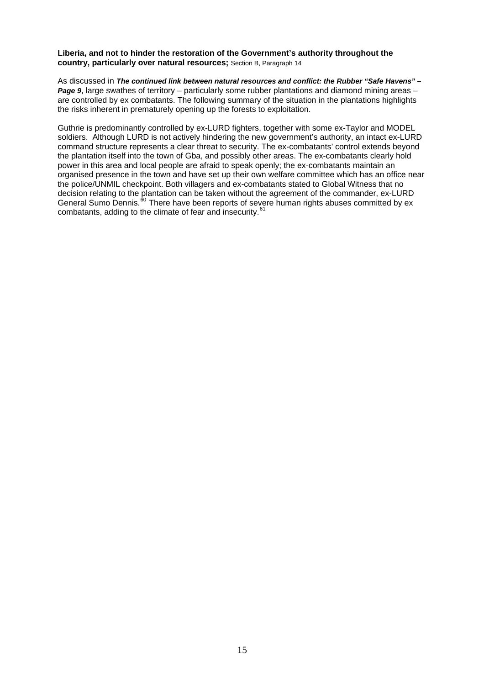#### **Liberia, and not to hinder the restoration of the Government's authority throughout the country, particularly over natural resources;** Section B, Paragraph 14

As discussed in *The continued link between natural resources and conflict: the Rubber "Safe Havens" – Page 9*, large swathes of territory – particularly some rubber plantations and diamond mining areas – are controlled by ex combatants. The following summary of the situation in the plantations highlights the risks inherent in prematurely opening up the forests to exploitation.

Guthrie is predominantly controlled by ex-LURD fighters, together with some ex-Taylor and MODEL soldiers. Although LURD is not actively hindering the new government's authority, an intact ex-LURD command structure represents a clear threat to security. The ex-combatants' control extends beyond the plantation itself into the town of Gba, and possibly other areas. The ex-combatants clearly hold power in this area and local people are afraid to speak openly; the ex-combatants maintain an organised presence in the town and have set up their own welfare committee which has an office near the police/UNMIL checkpoint. Both villagers and ex-combatants stated to Global Witness that no decision relating to the plantation can be taken without the agreement of the commander, ex-LURD General Sumo Dennis.<sup>[60](#page-19-2)</sup> There have been reports of severe human rights abuses committed by ex combatants, adding to the climate of fear and insecurity.<sup>[61](#page-19-2)</sup>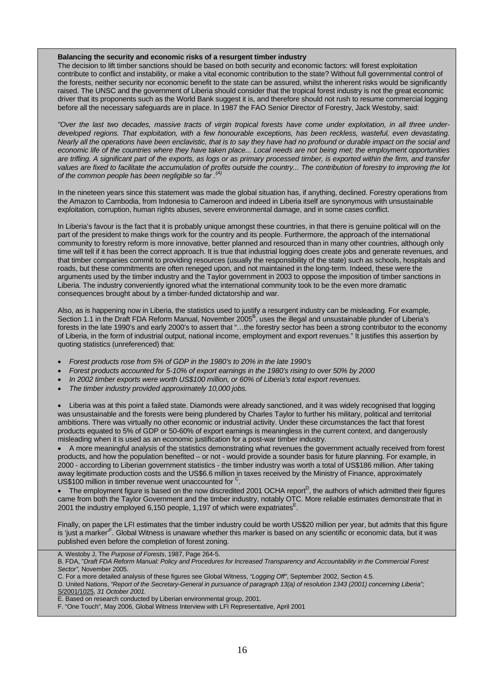#### **Balancing the security and economic risks of a resurgent timber industry**

The decision to lift timber sanctions should be based on both security and economic factors: will forest exploitation contribute to conflict and instability, or make a vital economic contribution to the state? Without full governmental control of the forests, neither security nor economic benefit to the state can be assured, whilst the inherent risks would be significantly raised. The UNSC and the government of Liberia should consider that the tropical forest industry is not the great economic driver that its proponents such as the World Bank suggest it is, and therefore should not rush to resume commercial logging before all the necessary safeguards are in place. In 1987 the FAO Senior Director of Forestry, Jack Westoby, said:

*"Over the last two decades, massive tracts of virgin tropical forests have come under exploitation, in all three underdeveloped regions. That exploitation, with a few honourable exceptions, has been reckless, wasteful, even devastating. Nearly all the operations have been enclavistic, that is to say they have had no profound or durable impact on the social and economic life of the countries where they have taken place... Local needs are not being met; the employment opportunities are trifling. A significant part of the exports, as logs or as primary processed timber, is exported within the firm, and transfer values are fixed to facilitate the accumulation of profits outside the country... The contribution of forestry to improving the lot of the common people has been negligible so far .(A)*

In the nineteen years since this statement was made the global situation has, if anything, declined. Forestry operations from the Amazon to Cambodia, from Indonesia to Cameroon and indeed in Liberia itself are synonymous with unsustainable exploitation, corruption, human rights abuses, severe environmental damage, and in some cases conflict.

In Liberia's favour is the fact that it is probably unique amongst these countries, in that there is genuine political will on the part of the president to make things work for the country and its people. Furthermore, the approach of the international community to forestry reform is more innovative, better planned and resourced than in many other countries, although only time will tell if it has been the correct approach. It is true that industrial logging does create jobs and generate revenues, and that timber companies commit to providing resources (usually the responsibility of the state) such as schools, hospitals and roads, but these commitments are often reneged upon, and not maintained in the long-term. Indeed, these were the arguments used by the timber industry and the Taylor government in 2003 to oppose the imposition of timber sanctions in Liberia. The industry conveniently ignored what the international community took to be the even more dramatic consequences brought about by a timber-funded dictatorship and war.

Also, as is happening now in Liberia, the statistics used to justify a resurgent industry can be misleading. For example, Section 1.1 in the Draft FDA Reform Manual, November 2005<sup>B</sup>, uses the illegal and unsustainable plunder of Liberia's forests in the late 1990's and early 2000's to assert that "…the forestry sector has been a strong contributor to the economy of Liberia, in the form of industrial output, national income, employment and export revenues." It justifies this assertion by quoting statistics (unreferenced) that:

- *Forest products rose from 5% of GDP in the 1980's to 20% in the late 1990's*
- *Forest products accounted for 5-10% of export earnings in the 1980's rising to over 50% by 2000*
- *In 2002 timber exports were worth US\$100 million, or 60% of Liberia's total export revenues.*
- *The timber industry provided approximately 10,000 jobs.*

• Liberia was at this point a failed state. Diamonds were already sanctioned, and it was widely recognised that logging was unsustainable and the forests were being plundered by Charles Taylor to further his military, political and territorial ambitions. There was virtually no other economic or industrial activity. Under these circumstances the fact that forest products equated to 5% of GDP or 50-60% of export earnings is meaningless in the current context, and dangerously misleading when it is used as an economic justification for a post-war timber industry.

• A more meaningful analysis of the statistics demonstrating what revenues the government actually received from forest products, and how the population benefited – or not - would provide a sounder basis for future planning. For example, in 2000 - according to Liberian government statistics - the timber industry was worth a total of US\$186 million. After taking away legitimate production costs and the US\$6.6 million in taxes received by the Ministry of Finance, approximately US\$100 million in timber revenue went unaccounted for  $C$ .

• The employment figure is based on the now discredited 2001 OCHA report<sup>D</sup>, the authors of which admitted their figures came from both the Taylor Government and the timber industry, notably OTC. More reliable estimates demonstrate that in 2001 the industry employed 6,150 people, 1,197 of which were expatriates $E$ .

Finally, on paper the LFI estimates that the timber industry could be worth US\$20 million per year, but admits that this figure is 'just a marker'<sup>F</sup>. Global Witness is unaware whether this marker is based on any scientific or economic data, but it was published even before the completion of forest zoning.

A. Westoby J, The *Purpose of Forests*, 1987, Page 264-5.

D. United Nations, *"Report of the Secretary-General in pursuance of paragraph 13(a) of resolution 1343 (2001) concerning Liberia";*  [S/2001/1025](http://daccess-ods.un.org/access.nsf/Get?Open&DS=S/2001/1025&Lang=E&Area=UNDOC), *31 October 2001.*

F. "One Touch", May 2006, Global Witness Interview with LFI Representative, April 2001

B. FDA, "*Draft FDA Reform Manual: Policy and Procedures for Increased Transparency and Accountability in the Commercial Forest Sector",* November 2005.

C. For a more detailed analysis of these figures see Global Witness, *"Logging Off"*, September 2002, Section 4.5.

E. Based on research conducted by Liberian environmental group, 2001.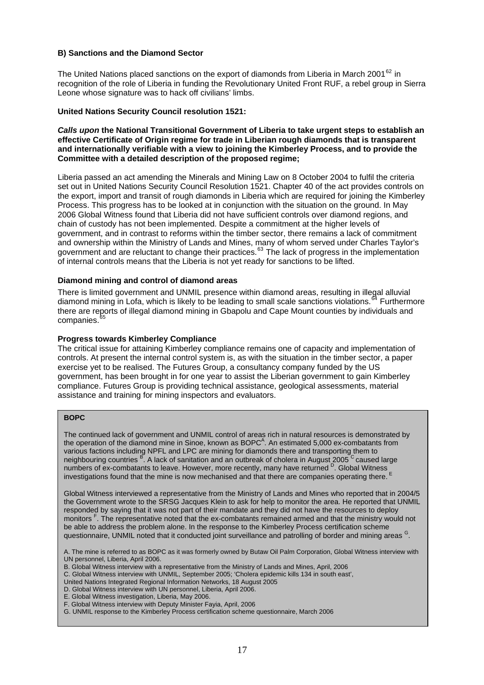#### <span id="page-16-0"></span>**B) Sanctions and the Diamond Sector**

The United Nations placed sanctions on the export of diamonds from Liberia in March 2001 $62$  in recognition of the role of Liberia in funding the Revolutionary United Front RUF, a rebel group in Sierra Leone whose signature was to hack off civilians' limbs.

#### **United Nations Security Council resolution 1521:**

#### *Calls upon* **the National Transitional Government of Liberia to take urgent steps to establish an effective Certificate of Origin regime for trade in Liberian rough diamonds that is transparent and internationally verifiable with a view to joining the Kimberley Process, and to provide the Committee with a detailed description of the proposed regime;**

Liberia passed an act amending the Minerals and Mining Law on 8 October 2004 to fulfil the criteria set out in United Nations Security Council Resolution 1521. Chapter 40 of the act provides controls on the export, import and transit of rough diamonds in Liberia which are required for joining the Kimberley Process. This progress has to be looked at in conjunction with the situation on the ground. In May 2006 Global Witness found that Liberia did not have sufficient controls over diamond regions, and chain of custody has not been implemented. Despite a commitment at the higher levels of government, and in contrast to reforms within the timber sector, there remains a lack of commitment and ownership within the Ministry of Lands and Mines, many of whom served under Charles Taylor's government and are reluctant to change their practices.<sup>[63](#page-19-1)</sup> The lack of progress in the implementation of internal controls means that the Liberia is not yet ready for sanctions to be lifted.

#### **Diamond mining and control of diamond areas**

There is limited government and UNMIL presence within diamond areas, resulting in illegal alluvial diamond mining in Lofa, which is likely to be leading to small scale sanctions violations.<sup>[64](#page-19-1)</sup> Furthermore there are reports of illegal diamond mining in Gbapolu and Cape Mount counties by individuals and companies.<sup>[65](#page-19-1)</sup>

#### **Progress towards Kimberley Compliance**

The critical issue for attaining Kimberley compliance remains one of capacity and implementation of controls. At present the internal control system is, as with the situation in the timber sector, a paper exercise yet to be realised. The Futures Group, a consultancy company funded by the US government, has been brought in for one year to assist the Liberian government to gain Kimberley compliance. Futures Group is providing technical assistance, geological assessments, material assistance and training for mining inspectors and evaluators.

#### **BOPC**

The continued lack of government and UNMIL control of areas rich in natural resources is demonstrated by the operation of the diamond mine in Sinoe, known as BOPC $^{\mathsf{A}}$ . An estimated 5,000 ex-combatants from various factions including NPFL and LPC are mining for diamonds there and transporting them to neighbouring countries <sup>B</sup>. A lack of sanitation and an outbreak of cholera in August 2005 C caused large numbers of ex-combatants to leave. However, more recently, many have returned <sup>D</sup>. Global Witness investigations found that the mine is now mechanised and that there are companies operating there. <sup>E</sup>

Global Witness interviewed a representative from the Ministry of Lands and Mines who reported that in 2004/5 the Government wrote to the SRSG Jacques Klein to ask for help to monitor the area. He reported that UNMIL responded by saying that it was not part of their mandate and they did not have the resources to deploy monitors <sup>F</sup>. The representative noted that the ex-combatants remained armed and that the ministry would not be able to address the problem alone. In the response to the Kimberley Process certification scheme questionnaire, UNMIL noted that it conducted joint surveillance and patrolling of border and mining areas <sup>G</sup>.

A. The mine is referred to as BOPC as it was formerly owned by Butaw Oil Palm Corporation, Global Witness interview with UN personnel, Liberia, April 2006.

- B. Global Witness interview with a representative from the Ministry of Lands and Mines, April, 2006
- C. Global Witness interview with UNMIL, September 2005; 'Cholera epidemic kills 134 in south east',
- United Nations Integrated Regional Information Networks, 18 August 2005
- D. Global Witness interview with UN personnel, Liberia, April 2006.
- E. Global Witness investigation, Liberia, May 2006.
- F. Global Witness interview with Deputy Minister Fayia, April, 2006
- G. UNMIL response to the Kimberley Process certification scheme questionnaire, March 2006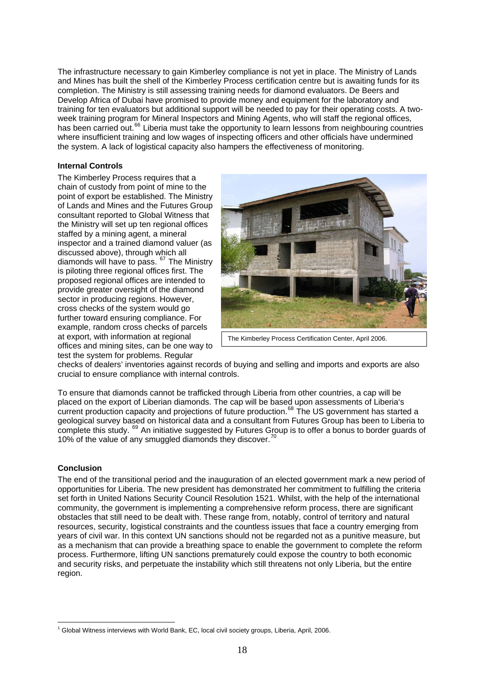<span id="page-17-0"></span>The infrastructure necessary to gain Kimberley compliance is not yet in place. The Ministry of Lands and Mines has built the shell of the Kimberley Process certification centre but is awaiting funds for its completion. The Ministry is still assessing training needs for diamond evaluators. De Beers and Develop Africa of Dubai have promised to provide money and equipment for the laboratory and training for ten evaluators but additional support will be needed to pay for their operating costs. A twoweek training program for Mineral Inspectors and Mining Agents, who will staff the regional offices, has been carried out.<sup>[66](#page-19-1)</sup> Liberia must take the opportunity to learn lessons from neighbouring countries where insufficient training and low wages of inspecting officers and other officials have undermined the system. A lack of logistical capacity also hampers the effectiveness of monitoring.

#### **Internal Controls**

The Kimberley Process requires that a chain of custody from point of mine to the point of export be established. The Ministry of Lands and Mines and the Futures Group consultant reported to Global Witness that the Ministry will set up ten regional offices staffed by a mining agent, a mineral inspector and a trained diamond valuer (as discussed above), through which all diamonds will have to pass.  $67$  The Ministry is piloting three regional offices first. The proposed regional offices are intended to provide greater oversight of the diamond sector in producing regions. However, cross checks of the system would go further toward ensuring compliance. For example, random cross checks of parcels at export, with information at regional offices and mining sites, can be one way to test the system for problems. Regular



The Kimberley Process Certification Center, April 2006.

checks of dealers' inventories against records of buying and selling and imports and exports are also crucial to ensure compliance with internal controls.

To ensure that diamonds cannot be trafficked through Liberia from other countries, a cap will be placed on the export of Liberian diamonds. The cap will be based upon assessments of Liberia's current production capacity and projections of future production.<sup>[68](#page-19-4)</sup> The US government has started a geological survey based on historical data and a consultant from Futures Group has been to Liberia to complete this study. <sup>[69](#page-19-5)</sup> An initiative suggested by Futures Group is to offer a bonus to border guards of 10% of the value of any smuggled diamonds they discover.<sup>[70](#page-19-6)</sup>

## **Conclusion**

The end of the transitional period and the inauguration of an elected government mark a new period of opportunities for Liberia. The new president has demonstrated her commitment to fulfilling the criteria set forth in United Nations Security Council Resolution 1521. Whilst, with the help of the international community, the government is implementing a comprehensive reform process, there are significant obstacles that still need to be dealt with. These range from, notably, control of territory and natural resources, security, logistical constraints and the countless issues that face a country emerging from years of civil war. In this context UN sanctions should not be regarded not as a punitive measure, but as a mechanism that can provide a breathing space to enable the government to complete the reform process. Furthermore, lifting UN sanctions prematurely could expose the country to both economic and security risks, and perpetuate the instability which still threatens not only Liberia, but the entire region.

 $\overline{a}$  $1$  Global Witness interviews with World Bank, EC, local civil society groups, Liberia, April, 2006.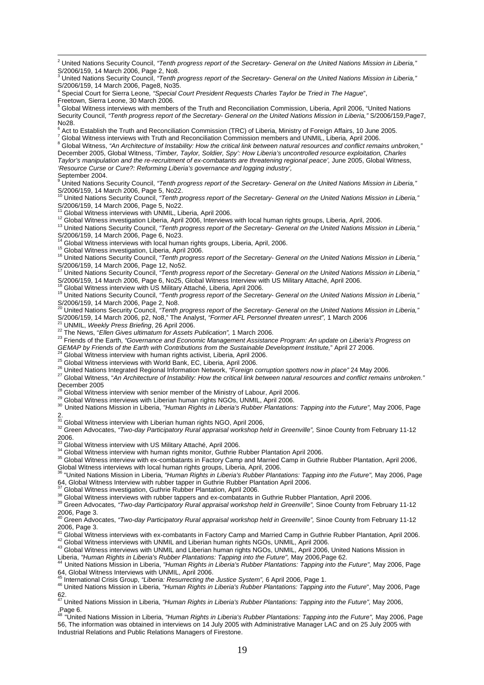$\frac{1}{2}$  United Nations Security Council, *"Tenth progress report of the Secretary- General on the United Nations Mission in Liberia,"*  S/2006/159, 14 March 2006, Page 2, No8.

<sup>3</sup> United Nations Security Council, "Tenth progress report of the Secretary- General on the United Nations Mission in Liberia," S/2006/159, 14 March 2006, Page8, No35.

4 Special Court for Sierra Leone*, "Special Court President Requests Charles Taylor be Tried in The Hague*",

Freetown, Sierra Leone, 30 March 2006.<br><sup>5</sup> Global Witness interviews with members of the Truth and Reconciliation Commission, Liberia, April 2006, "United Nations Security Council, "Tenth progress report of the Secretary- General on the United Nations Mission in Liberia," S/2006/159, Page7, No28.

 $^6$  Act to Establish the Truth and Reconciliation Commission (TRC) of Liberia, Ministry of Foreign Affairs, 10 June 2005.<br><sup>7</sup> Clabel Witness intensieve with Truth and Reconciliation Commission members and UNMU, Liberia,

 $^7$  Global Witness interviews with Truth and Reconciliation Commission members and UNMIL, Liberia, April 2006. Global Witness, *"An Architecture of Instability: How the critical link between natural resources and conflict remains unbroken,"*  December 2005, Global Witness, *'Timber, Taylor, Soldier, Spy': How Liberia's uncontrolled resource exploitation, Charles Taylor's manipulation and the re-recruitment of ex-combatants are threatening regional peace',* June 2005, Global Witness,

*'Resource Curse or Cure?: Reforming Liberia's governance and logging industry',* 

September 2004.

<sup>9</sup> United Nations Security Council, "Tenth progress report of the Secretary- General on the United Nations Mission in Liberia,"  $S/2006/159$ , 14 March 2006, Page 5, No22.

10 United Nations Security Council, *"Tenth progress report of the Secretary- General on the United Nations Mission in Liberia,"*  S/2006/159, 14 March 2006, Page 5, No22.<br><sup>11</sup> Global Witness interviews with UNMIL, Liberia, April 2006.

<sup>12</sup> Global Witness investigation Liberia, April 2006, Interviews with local human rights groups, Liberia, April, 2006.<br><sup>13</sup> United Nations Security Council, *"Tenth progress report of the Secretary- General on the United* S/2006/159, 14 March 2006, Page 6, No. 23.<br><sup>14</sup> Global Witness interviews with local human rights groups, Liberia, April, 2006.

<sup>15</sup> Global Witness investigation, Liberia, April 2006.<br><sup>16</sup> United Nations Security Council, "Tenth progress report of the Secretary- General on the United Nations Mission in Liberia,"

S/2006/159, 14 March 2006, Page 12, No52.<br><sup>17</sup> United Nations Security Council, *"Tenth progress report of the Secretary- General on the United Nations Mission in Liberia,"* S/2006/159, 14 March 2006, Page 6, No25, Global Witness Interview with US Military Attaché, April 2006.<br><sup>18</sup> Global Witness interview with US Military Attaché, Liberia, April 2006.

<sup>19</sup> United Nations Security Council, *"Tenth progress report of the Secretary- General on the United Nations Mission in Liberia,"* S/2006/159, 14 March 2006, Page 2, No8.

<sup>20</sup> United Nations Security Council, *"Tenth progress report of the Secretary- General on the United Nations Mission in Liberia,"*<br>S/2006/159, 14 March 2006, p2, No8," The Analyst, *"Former AFL Personnel threaten unrest",* 

<sup>21</sup> UNMIL, Weekly Press Briefing, 26 April 2006.<br><sup>22</sup> The News, "Ellen Gives ultimatum for Assets Publication", 1 March 2006.<br><sup>23</sup> Friends of the Earth, "Governance and Economic Management Assistance Program: An update on

<sup>24</sup> Global Witness interview with human rights activist, Liberia, April 2006.<br><sup>25</sup> Global Witness interviews with World Bank, EC, Liberia, April 2006.<br><sup>26</sup> United Nations Integrated Regional Information Network, "Foreign December 2005<br><sup>28</sup> Global Witness interview with senior member of the Ministry of Labour, April 2006.

29 Global Witness interview with Schlor Hichber of the Withsty of Eabout, April 2006.<br><sup>29</sup> Global Witness interviews with Liberian human rights NGOs, UNMIL, April 2006.<br><sup>30</sup> United Nations Mission in Liberia, "Human Rights 2.<br>31 Global Witness interview with Liberian human rights NGO, April 2006,

31 Global Witness interview with Liberian human rights NGO, April 2006, 32 Green Advocates, *"Two-day Participatory Rural appraisal workshop held in Greenville",* Sinoe County from February 11-12 2006.<br><sup>33</sup> Global Witness interview with US Military Attaché, April 2006.

34 Global Witness interview with DD Milliary / Macrity, April 2000.<br>34 Global Witness interview with human rights monitor, Guthrie Rubber Plantation April 2006.<br>35 Global Witness interview with ex-combatants in Factory Cam

Global Witness interviews with local human rights groups, Liberia, April, 2006.

36 "United Nations Mission in Liberia, *"Human Rights in Liberia's Rubber Plantations: Tapping into the Future",* May 2006, Page 64, Global Witness Interview Little Rubber tapper in Guthrie Rubber Plantation April 2006.<br><sup>37</sup> Global Witness investigation, Guthrie Rubber Plantation, April 2006.

<sup>38</sup> Global Witness interviews with rubber tappers and ex-combatants in Guthrie Rubber Plantation, April 2006.<br><sup>39</sup> Green Advocates, "Two-day Participatory Rural appraisal workshop held in Greenville", Sinoe County from Fe

2006, Page 3.<br><sup>40</sup> Green Advocates, *"Two-day Participatory Rural appraisal workshop held in Greenville",* Sinoe County from February 11-12 2006, Page 3.<br><sup>41</sup> Global Witness interviews with ex-combatants in Factory Camp and Married Camp in Guthrie Rubber Plantation, April 2006.

42 Global Witness interviews with UNMIL and Liberian human rights NGOs, UNMIL, April 2006.<br>43 Global Witness interviews with UNMIL and Liberian human rights NGOs, UNMIL, April 2006, United Nations Mission in<br>Liberia. "Huma

United Nations Mission in Liberia, "Human Rights in Liberia's Rubber Plantations: Tapping into the Future", May 2006, Page 64, Global Witness Interviews with UNMIL, April 2006.

<sup>45</sup> International Crisis Group, *"Liberia: Resurrecting the Justice System",* 6 April 2006, Page 1.<br><sup>46</sup> United Nations Mission in Liberia, "Human Rights in Liberia's Rubber Plantations: Tapping into the Future", May 2006

62. 47 United Nations Mission in Liberia, *"Human Rights in Liberia's Rubber Plantations: Tapping into the Future",* May 2006,

,Page 6. <sup>48</sup> "United Nations Mission in Liberia, *"Human Rights in Liberia's Rubber Plantations: Tapping into the Future",* May 2006, Page 56, The information was obtained in interviews on 14 July 2005 with Administrative Manager LAC and on 25 July 2005 with Industrial Relations and Public Relations Managers of Firestone.